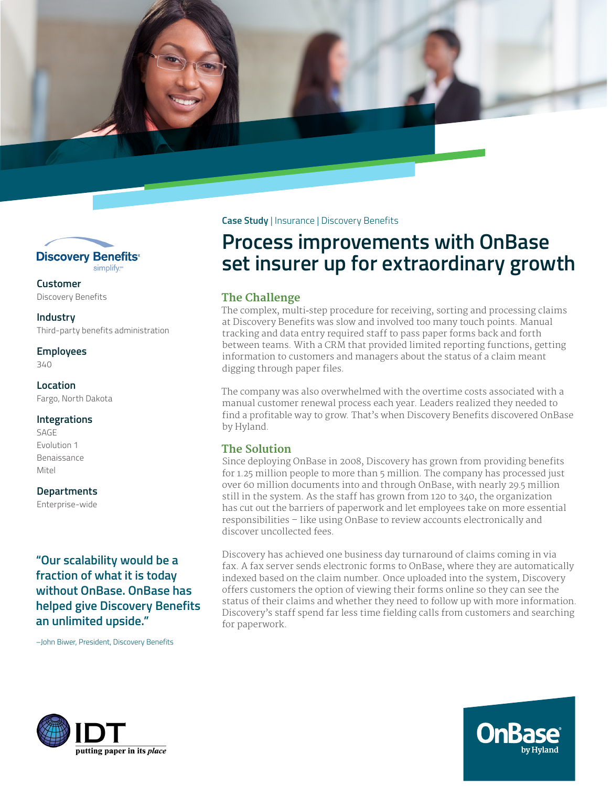



**Customer** Discovery Benefits

**Industry** Third-party benefits administration

**Employees** 340

## **Location**

Fargo, North Dakota

### **Integrations**

SAGE Evolution 1 Benaissance Mitel

#### **Departments**

Enterprise-wide

**"Our scalability would be a fraction of what it is today without OnBase. OnBase has helped give Discovery Benefits an unlimited upside."**

–John Biwer, President, Discovery Benefits

**Case Study** | Insurance | Discovery Benefits

# **Process improvements with OnBase set insurer up for extraordinary growth**

## **The Challenge**

The complex, multi-step procedure for receiving, sorting and processing claims at Discovery Benefits was slow and involved too many touch points. Manual tracking and data entry required staff to pass paper forms back and forth between teams. With a CRM that provided limited reporting functions, getting information to customers and managers about the status of a claim meant digging through paper files.

The company was also overwhelmed with the overtime costs associated with a manual customer renewal process each year. Leaders realized they needed to find a profitable way to grow. That's when Discovery Benefits discovered OnBase by Hyland.

## **The Solution**

Since deploying OnBase in 2008, Discovery has grown from providing benefits for 1.25 million people to more than 5 million. The company has processed just over 60 million documents into and through OnBase, with nearly 29.5 million still in the system. As the staff has grown from 120 to 340, the organization has cut out the barriers of paperwork and let employees take on more essential responsibilities – like using OnBase to review accounts electronically and discover uncollected fees.

Discovery has achieved one business day turnaround of claims coming in via fax. A fax server sends electronic forms to OnBase, where they are automatically indexed based on the claim number. Once uploaded into the system, Discovery offers customers the option of viewing their forms online so they can see the status of their claims and whether they need to follow up with more information. Discovery's staff spend far less time fielding calls from customers and searching for paperwork.